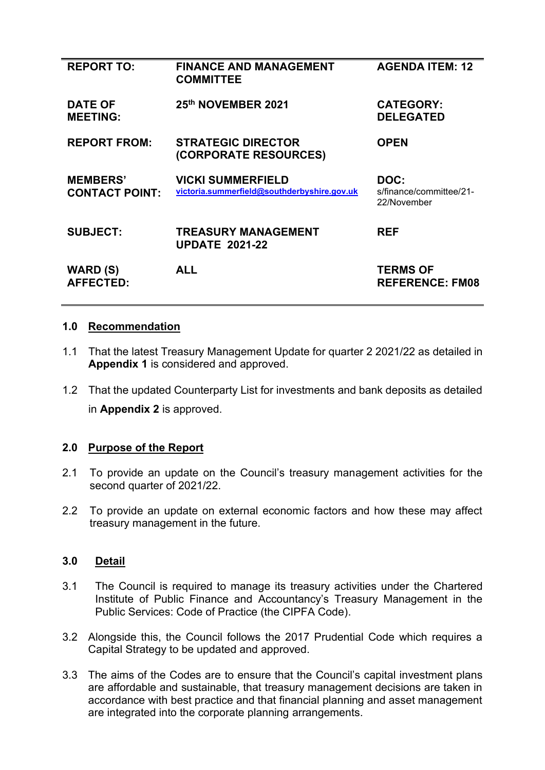| <b>REPORT TO:</b>                        | <b>FINANCE AND MANAGEMENT</b><br><b>COMMITTEE</b>                       | <b>AGENDA ITEM: 12</b>                         |
|------------------------------------------|-------------------------------------------------------------------------|------------------------------------------------|
| <b>DATE OF</b><br><b>MEETING:</b>        | 25th NOVEMBER 2021                                                      | <b>CATEGORY:</b><br><b>DELEGATED</b>           |
| <b>REPORT FROM:</b>                      | <b>STRATEGIC DIRECTOR</b><br>(CORPORATE RESOURCES)                      | <b>OPEN</b>                                    |
| <b>MEMBERS'</b><br><b>CONTACT POINT:</b> | <b>VICKI SUMMERFIELD</b><br>victoria.summerfield@southderbyshire.gov.uk | DOC:<br>s/finance/committee/21-<br>22/November |
| <b>SUBJECT:</b>                          | <b>TREASURY MANAGEMENT</b><br><b>UPDATE 2021-22</b>                     | <b>REF</b>                                     |
| <b>WARD (S)</b><br><b>AFFECTED:</b>      | ALL                                                                     | <b>TERMS OF</b><br><b>REFERENCE: FM08</b>      |

#### **1.0 Recommendation**

- 1.1 That the latest Treasury Management Update for quarter 2 2021/22 as detailed in **Appendix 1** is considered and approved.
- 1.2 That the updated Counterparty List for investments and bank deposits as detailed in **Appendix 2** is approved.

#### **2.0 Purpose of the Report**

- 2.1 To provide an update on the Council's treasury management activities for the second quarter of 2021/22.
- 2.2 To provide an update on external economic factors and how these may affect treasury management in the future.

#### **3.0 Detail**

- 3.1 The Council is required to manage its treasury activities under the Chartered Institute of Public Finance and Accountancy's Treasury Management in the Public Services: Code of Practice (the CIPFA Code).
- 3.2 Alongside this, the Council follows the 2017 Prudential Code which requires a Capital Strategy to be updated and approved.
- 3.3 The aims of the Codes are to ensure that the Council's capital investment plans are affordable and sustainable, that treasury management decisions are taken in accordance with best practice and that financial planning and asset management are integrated into the corporate planning arrangements.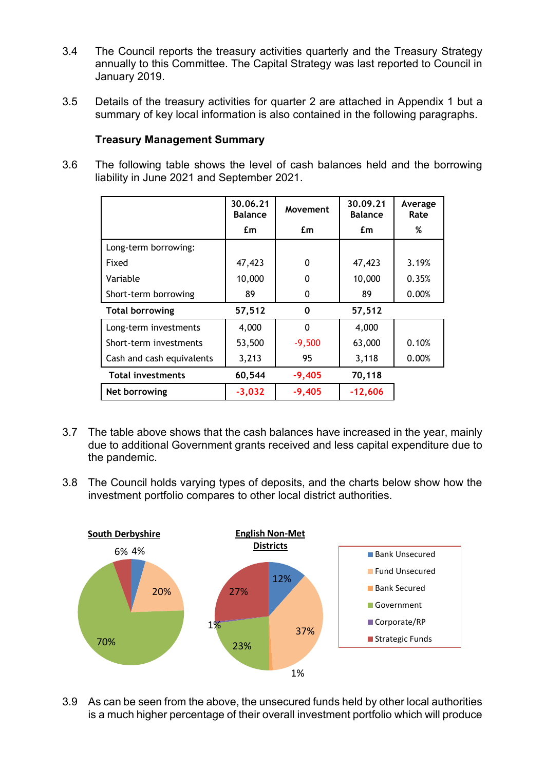- 3.4 The Council reports the treasury activities quarterly and the Treasury Strategy annually to this Committee. The Capital Strategy was last reported to Council in January 2019.
- 3.5 Details of the treasury activities for quarter 2 are attached in Appendix 1 but a summary of key local information is also contained in the following paragraphs.

### **Treasury Management Summary**

3.6 The following table shows the level of cash balances held and the borrowing liability in June 2021 and September 2021.

|                           | 30.06.21<br><b>Balance</b> | Movement | 30.09.21<br><b>Balance</b> | Average<br>Rate |
|---------------------------|----------------------------|----------|----------------------------|-----------------|
|                           | £m                         | £m       | £m                         | %               |
| Long-term borrowing:      |                            |          |                            |                 |
| Fixed                     | 47,423                     | $\Omega$ | 47,423                     | 3.19%           |
| Variable                  | 10,000                     | 0        | 10,000                     | 0.35%           |
| Short-term borrowing      | 89                         | 0        | 89                         | 0.00%           |
| <b>Total borrowing</b>    | 57,512                     | 0        | 57,512                     |                 |
| Long-term investments     | 4,000                      | $\Omega$ | 4,000                      |                 |
| Short-term investments    | 53,500                     | $-9,500$ | 63,000                     | 0.10%           |
| Cash and cash equivalents | 3,213                      | 95       | 3,118                      | 0.00%           |
| <b>Total investments</b>  | 60,544                     | $-9,405$ | 70,118                     |                 |
| Net borrowing             | $-3,032$                   | $-9,405$ | $-12,606$                  |                 |

- 3.7 The table above shows that the cash balances have increased in the year, mainly due to additional Government grants received and less capital expenditure due to the pandemic.
- 3.8 The Council holds varying types of deposits, and the charts below show how the investment portfolio compares to other local district authorities.



3.9 As can be seen from the above, the unsecured funds held by other local authorities is a much higher percentage of their overall investment portfolio which will produce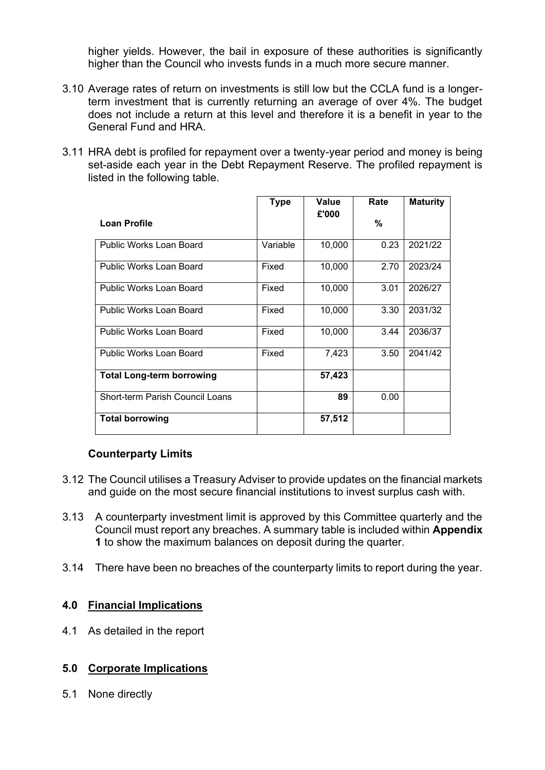higher yields. However, the bail in exposure of these authorities is significantly higher than the Council who invests funds in a much more secure manner.

- 3.10 Average rates of return on investments is still low but the CCLA fund is a longerterm investment that is currently returning an average of over 4%. The budget does not include a return at this level and therefore it is a benefit in year to the General Fund and HRA.
- 3.11 HRA debt is profiled for repayment over a twenty-year period and money is being set-aside each year in the Debt Repayment Reserve. The profiled repayment is listed in the following table.

|                                  | <b>Type</b> | Value  | Rate | <b>Maturity</b> |
|----------------------------------|-------------|--------|------|-----------------|
| <b>Loan Profile</b>              |             | £'000  | %    |                 |
| <b>Public Works Loan Board</b>   | Variable    | 10,000 | 0.23 | 2021/22         |
| Public Works Loan Board          | Fixed       | 10,000 | 2.70 | 2023/24         |
| Public Works Loan Board          | Fixed       | 10,000 | 3.01 | 2026/27         |
| Public Works Loan Board          | Fixed       | 10,000 | 3.30 | 2031/32         |
| Public Works Loan Board          | Fixed       | 10,000 | 3.44 | 2036/37         |
| Public Works Loan Board          | Fixed       | 7,423  | 3.50 | 2041/42         |
| <b>Total Long-term borrowing</b> |             | 57,423 |      |                 |
| Short-term Parish Council Loans  |             | 89     | 0.00 |                 |
| <b>Total borrowing</b>           |             | 57,512 |      |                 |

#### **Counterparty Limits**

- 3.12 The Council utilises a Treasury Adviser to provide updates on the financial markets and guide on the most secure financial institutions to invest surplus cash with.
- 3.13 A counterparty investment limit is approved by this Committee quarterly and the Council must report any breaches. A summary table is included within **Appendix 1** to show the maximum balances on deposit during the quarter.
- 3.14 There have been no breaches of the counterparty limits to report during the year.

#### **4.0 Financial Implications**

4.1 As detailed in the report

#### **5.0 Corporate Implications**

5.1 None directly